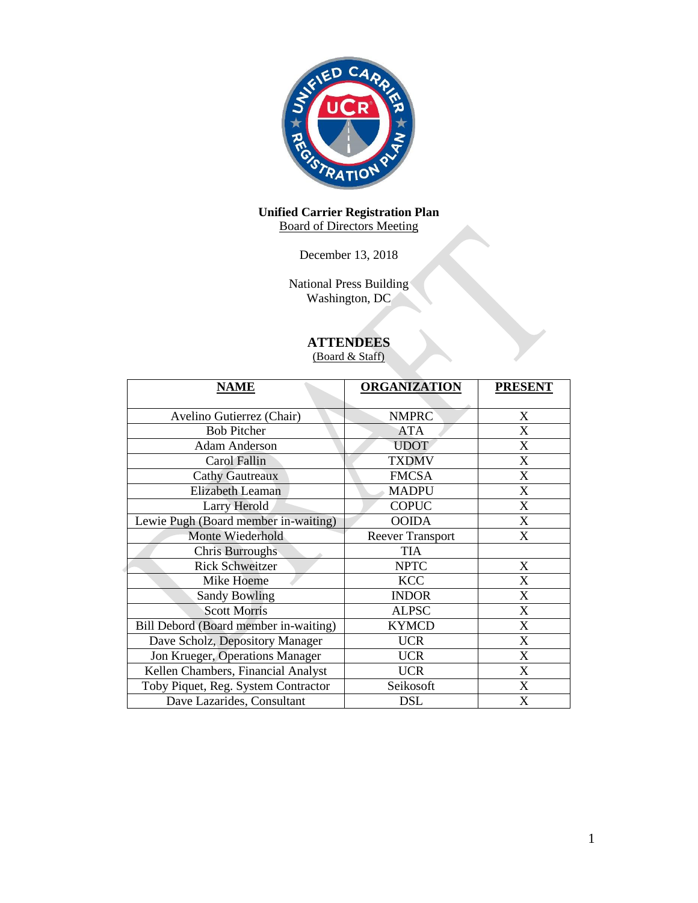

#### **Unified Carrier Registration Plan** Board of Directors Meeting

December 13, 2018

National Press Building Washington, DC

# **ATTENDEES**

(Board & Staff)

| <b>NAME</b>                           | <b>ORGANIZATION</b>     | <b>PRESENT</b>            |
|---------------------------------------|-------------------------|---------------------------|
|                                       |                         |                           |
| Avelino Gutierrez (Chair)             | <b>NMPRC</b>            | X                         |
| <b>Bob Pitcher</b>                    | <b>ATA</b>              | X                         |
| <b>Adam Anderson</b>                  | <b>UDOT</b>             | X                         |
| Carol Fallin                          | <b>TXDMV</b>            | X                         |
| <b>Cathy Gautreaux</b>                | <b>FMCSA</b>            | X                         |
| <b>Elizabeth Leaman</b>               | <b>MADPU</b>            | X                         |
| Larry Herold                          | <b>COPUC</b>            | X                         |
| Lewie Pugh (Board member in-waiting)  | <b>OOIDA</b>            | $\boldsymbol{\mathrm{X}}$ |
| Monte Wiederhold                      | <b>Reever Transport</b> | $\boldsymbol{\mathrm{X}}$ |
| <b>Chris Burroughs</b>                | <b>TIA</b>              |                           |
| <b>Rick Schweitzer</b>                | <b>NPTC</b>             | X                         |
| Mike Hoeme                            | <b>KCC</b>              | X                         |
| <b>Sandy Bowling</b>                  | <b>INDOR</b>            | X                         |
| <b>Scott Morris</b>                   | <b>ALPSC</b>            | X                         |
| Bill Debord (Board member in-waiting) | <b>KYMCD</b>            | X                         |
| Dave Scholz, Depository Manager       | <b>UCR</b>              | X                         |
| Jon Krueger, Operations Manager       | <b>UCR</b>              | X                         |
| Kellen Chambers, Financial Analyst    | <b>UCR</b>              | X                         |
| Toby Piquet, Reg. System Contractor   | Seikosoft               | X                         |
| Dave Lazarides, Consultant            | <b>DSL</b>              | X                         |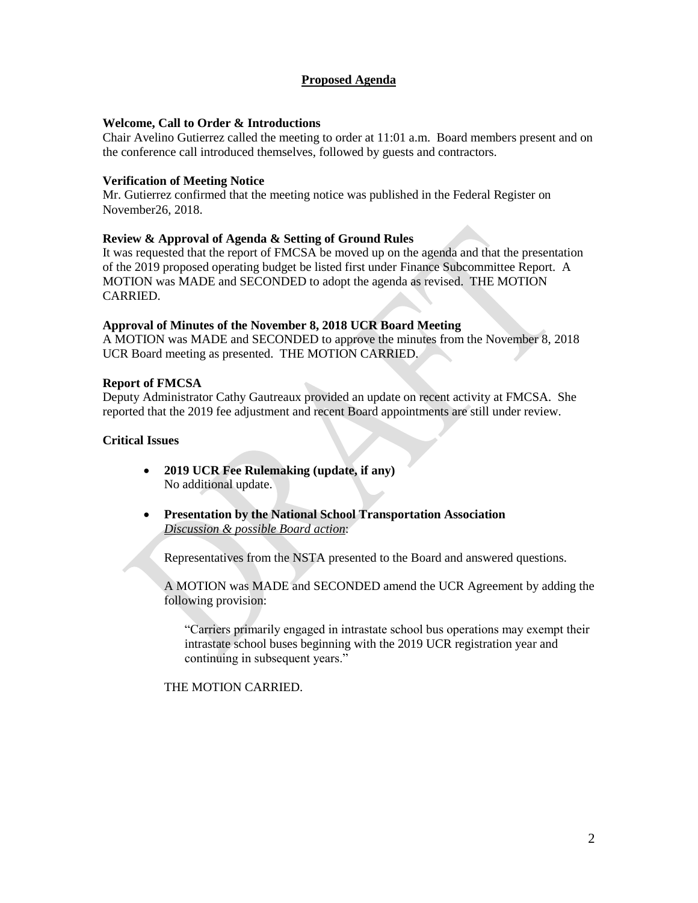# **Proposed Agenda**

### **Welcome, Call to Order & Introductions**

Chair Avelino Gutierrez called the meeting to order at 11:01 a.m. Board members present and on the conference call introduced themselves, followed by guests and contractors.

### **Verification of Meeting Notice**

Mr. Gutierrez confirmed that the meeting notice was published in the Federal Register on November26, 2018.

### **Review & Approval of Agenda & Setting of Ground Rules**

It was requested that the report of FMCSA be moved up on the agenda and that the presentation of the 2019 proposed operating budget be listed first under Finance Subcommittee Report. A MOTION was MADE and SECONDED to adopt the agenda as revised. THE MOTION CARRIED.

#### **Approval of Minutes of the November 8, 2018 UCR Board Meeting**

A MOTION was MADE and SECONDED to approve the minutes from the November 8, 2018 UCR Board meeting as presented. THE MOTION CARRIED.

#### **Report of FMCSA**

Deputy Administrator Cathy Gautreaux provided an update on recent activity at FMCSA. She reported that the 2019 fee adjustment and recent Board appointments are still under review.

#### **Critical Issues**

- **2019 UCR Fee Rulemaking (update, if any)** No additional update.
- **Presentation by the National School Transportation Association** *Discussion & possible Board action*:

Representatives from the NSTA presented to the Board and answered questions.

A MOTION was MADE and SECONDED amend the UCR Agreement by adding the following provision:

"Carriers primarily engaged in intrastate school bus operations may exempt their intrastate school buses beginning with the 2019 UCR registration year and continuing in subsequent years."

THE MOTION CARRIED.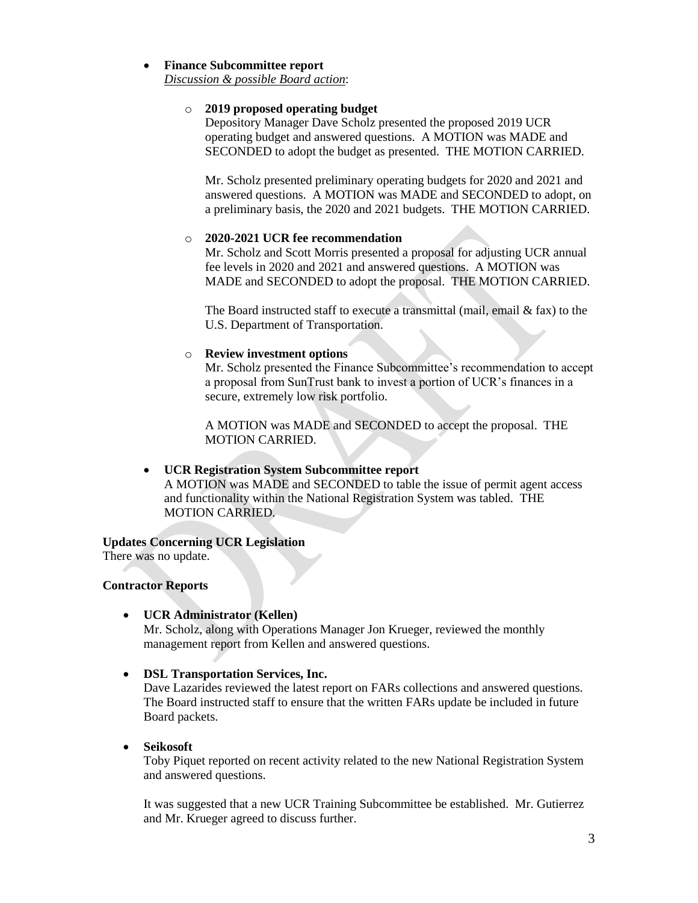# **Finance Subcommittee report**

*Discussion & possible Board action*:

# o **2019 proposed operating budget**

Depository Manager Dave Scholz presented the proposed 2019 UCR operating budget and answered questions. A MOTION was MADE and SECONDED to adopt the budget as presented. THE MOTION CARRIED.

Mr. Scholz presented preliminary operating budgets for 2020 and 2021 and answered questions. A MOTION was MADE and SECONDED to adopt, on a preliminary basis, the 2020 and 2021 budgets. THE MOTION CARRIED.

# o **2020-2021 UCR fee recommendation**

Mr. Scholz and Scott Morris presented a proposal for adjusting UCR annual fee levels in 2020 and 2021 and answered questions. A MOTION was MADE and SECONDED to adopt the proposal. THE MOTION CARRIED.

The Board instructed staff to execute a transmittal (mail, email & fax) to the U.S. Department of Transportation.

# o **Review investment options**

Mr. Scholz presented the Finance Subcommittee's recommendation to accept a proposal from SunTrust bank to invest a portion of UCR's finances in a secure, extremely low risk portfolio.

A MOTION was MADE and SECONDED to accept the proposal. THE MOTION CARRIED.

# **UCR Registration System Subcommittee report**

A MOTION was MADE and SECONDED to table the issue of permit agent access and functionality within the National Registration System was tabled. THE MOTION CARRIED.

# **Updates Concerning UCR Legislation**

There was no update.

# **Contractor Reports**

**UCR Administrator (Kellen)** 

Mr. Scholz, along with Operations Manager Jon Krueger, reviewed the monthly management report from Kellen and answered questions.

**DSL Transportation Services, Inc.**

Dave Lazarides reviewed the latest report on FARs collections and answered questions. The Board instructed staff to ensure that the written FARs update be included in future Board packets.

**Seikosoft** 

Toby Piquet reported on recent activity related to the new National Registration System and answered questions.

It was suggested that a new UCR Training Subcommittee be established. Mr. Gutierrez and Mr. Krueger agreed to discuss further.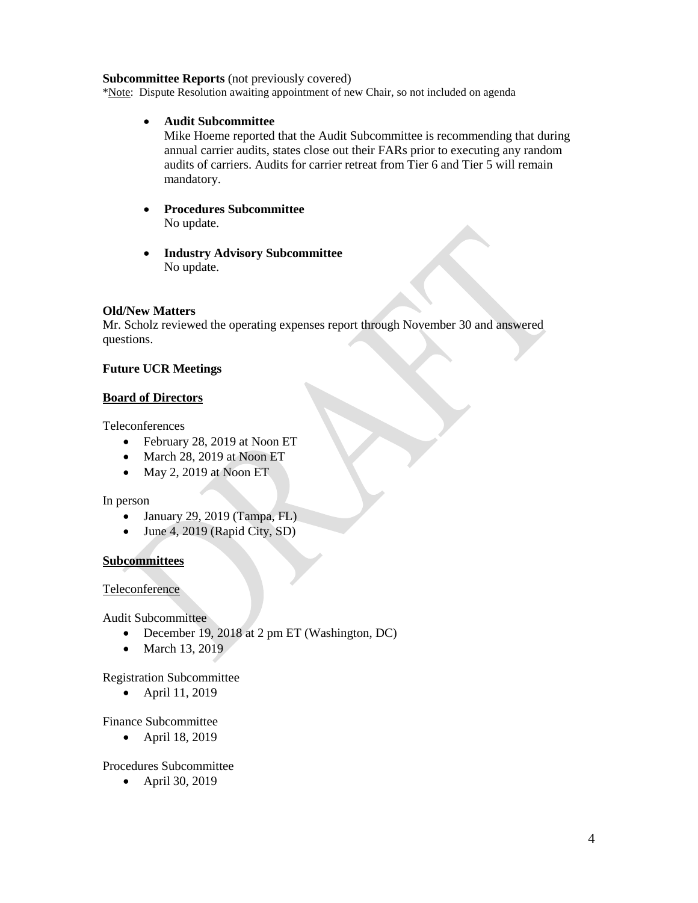#### **Subcommittee Reports** (not previously covered)

\*Note: Dispute Resolution awaiting appointment of new Chair, so not included on agenda

**Audit Subcommittee**

Mike Hoeme reported that the Audit Subcommittee is recommending that during annual carrier audits, states close out their FARs prior to executing any random audits of carriers. Audits for carrier retreat from Tier 6 and Tier 5 will remain mandatory.

- **Procedures Subcommittee**  No update.
- **Industry Advisory Subcommittee** No update.

# **Old/New Matters**

Mr. Scholz reviewed the operating expenses report through November 30 and answered questions.

# **Future UCR Meetings**

# **Board of Directors**

Teleconferences

- February 28, 2019 at Noon ET
- March 28, 2019 at Noon ET
- May 2, 2019 at Noon ET

# In person

- $\bullet$  January 29, 2019 (Tampa, FL)
- $\bullet$  June 4, 2019 (Rapid City, SD)

# **Subcommittees**

# Teleconference

Audit Subcommittee

- December 19, 2018 at 2 pm ET (Washington, DC)
- March 13, 2019

Registration Subcommittee

April 11, 2019

Finance Subcommittee

• April 18, 2019

# Procedures Subcommittee

• April 30, 2019